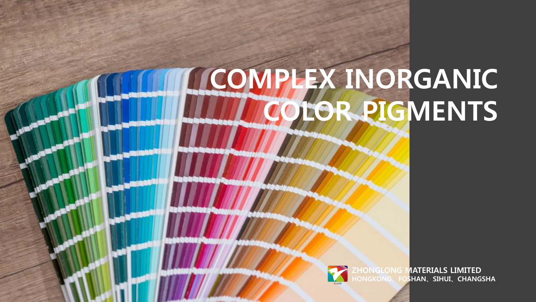## **COMPLEX INORGANIC COLOR PIGMENTS**

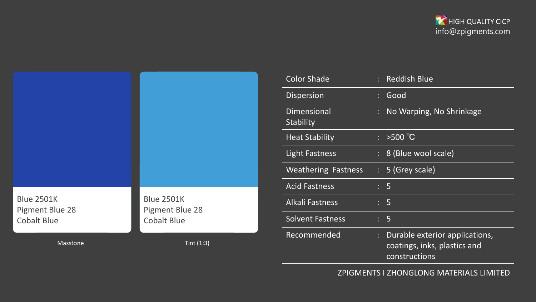

|                                                                   |                                                            | Ľ<br>I<br>ł                      |
|-------------------------------------------------------------------|------------------------------------------------------------|----------------------------------|
| <b>Blue 2501K</b><br><b>Pigment Blue 28</b><br><b>Cobalt Blue</b> | <b>Blue 2501K</b><br>Pigment Blue 28<br><b>Cobalt Blue</b> | $\overline{1}$<br>$\ddot{\cdot}$ |
| <b>Masstone</b>                                                   | Tint $(1:3)$                                               |                                  |

| <b>Color Shade</b>              |   | <b>Reddish Blue</b>                                                             |  |
|---------------------------------|---|---------------------------------------------------------------------------------|--|
| <b>Dispersion</b>               |   | Good                                                                            |  |
| <b>Dimensional</b><br>Stability | ÷ | No Warping, No Shrinkage                                                        |  |
| <b>Heat Stability</b>           |   | $\frac{1}{2}$ > 500 °C                                                          |  |
| <b>Light Fastness</b>           |   | : 8 (Blue wool scale)                                                           |  |
| <b>Weathering Fastness</b>      |   | $: 5$ (Grey scale)                                                              |  |
| <b>Acid Fastness</b>            |   | : 5                                                                             |  |
| <b>Alkali Fastness</b>          |   | $\therefore$ 5                                                                  |  |
| <b>Solvent Fastness</b>         |   | : 5                                                                             |  |
| Recommended                     |   | Durable exterior applications,<br>coatings, inks, plastics and<br>constructions |  |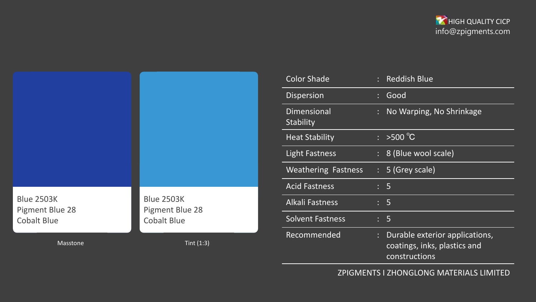

|                                                                   |                                                            | ľ<br>$\overline{\mathsf{I}}$<br>$\prime$   |
|-------------------------------------------------------------------|------------------------------------------------------------|--------------------------------------------|
| <b>Blue 2503K</b><br><b>Pigment Blue 28</b><br><b>Cobalt Blue</b> | <b>Blue 2503K</b><br>Pigment Blue 28<br><b>Cobalt Blue</b> | $\overline{\phantom{a}}$<br>$\ddot{\cdot}$ |
| Masstone                                                          | Tint $(1:3)$                                               |                                            |

| <b>Color Shade</b>              |   | <b>Reddish Blue</b>                                                             |  |
|---------------------------------|---|---------------------------------------------------------------------------------|--|
| <b>Dispersion</b>               |   | Good                                                                            |  |
| <b>Dimensional</b><br>Stability |   | No Warping, No Shrinkage                                                        |  |
| <b>Heat Stability</b>           | ÷ | $>500^{\circ}C$                                                                 |  |
| <b>Light Fastness</b>           |   | : 8 (Blue wool scale)                                                           |  |
| <b>Weathering Fastness</b>      |   | $: 5$ (Grey scale)                                                              |  |
| <b>Acid Fastness</b>            |   | $\therefore$ 5                                                                  |  |
| <b>Alkali Fastness</b>          |   | $\therefore$ 5                                                                  |  |
| <b>Solvent Fastness</b>         |   | $\therefore$ 5                                                                  |  |
| Recommended                     | ÷ | Durable exterior applications,<br>coatings, inks, plastics and<br>constructions |  |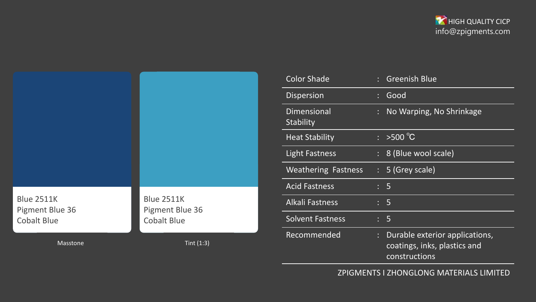

| <b>Blue 2511K</b><br>Pigment Blue 36<br><b>Cobalt Blue</b> | <b>Blue 2511K</b><br>Pigment Blue 36<br><b>Cobalt Blue</b> |  |
|------------------------------------------------------------|------------------------------------------------------------|--|
| Masstone                                                   | Tint $(1:3)$                                               |  |

| <b>Color Shade</b>              |                           | <b>Greenish Blue</b>                                                            |  |
|---------------------------------|---------------------------|---------------------------------------------------------------------------------|--|
| <b>Dispersion</b>               |                           | Good                                                                            |  |
| <b>Dimensional</b><br>Stability |                           | No Warping, No Shrinkage                                                        |  |
| <b>Heat Stability</b>           | $\mathbb{R}^{\mathbb{Z}}$ | $>500^{\circ}$ C                                                                |  |
| <b>Light Fastness</b>           |                           | : 8 (Blue wool scale)                                                           |  |
| <b>Weathering Fastness</b>      |                           | $: 5$ (Grey scale)                                                              |  |
| <b>Acid Fastness</b>            |                           | : 5                                                                             |  |
| <b>Alkali Fastness</b>          |                           | : 5                                                                             |  |
| <b>Solvent Fastness</b>         |                           | : 5                                                                             |  |
| Recommended                     | t                         | Durable exterior applications,<br>coatings, inks, plastics and<br>constructions |  |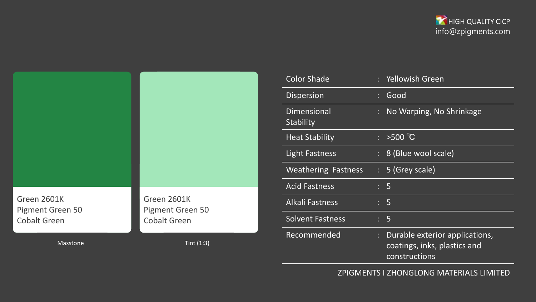

|                                 |                                        | C <sub>C</sub>         |
|---------------------------------|----------------------------------------|------------------------|
|                                 |                                        | Di:                    |
|                                 |                                        | Di                     |
|                                 |                                        | Sta                    |
|                                 |                                        | He                     |
|                                 |                                        | Lig                    |
|                                 |                                        | W                      |
|                                 |                                        | Ac                     |
| Green 2601K<br>Pigment Green 50 | Green 2601K<br><b>Pigment Green 50</b> | $\overline{A}$         |
| <b>Cobalt Green</b>             | <b>Cobalt Green</b>                    | $\mathsf{S}\mathsf{O}$ |
|                                 |                                        |                        |
| Masstone                        | Tint $(1:3)$                           | Re                     |

| <b>Color Shade</b>              |   | <b>Yellowish Green</b>                                                          |  |
|---------------------------------|---|---------------------------------------------------------------------------------|--|
| <b>Dispersion</b>               |   | Good                                                                            |  |
| <b>Dimensional</b><br>Stability |   | No Warping, No Shrinkage                                                        |  |
| <b>Heat Stability</b>           | ÷ | $>500^{\circ}C$                                                                 |  |
| <b>Light Fastness</b>           |   | 8 (Blue wool scale)                                                             |  |
| <b>Weathering Fastness</b>      |   | $: 5$ (Grey scale)                                                              |  |
| <b>Acid Fastness</b>            |   | $\therefore$ 5                                                                  |  |
| <b>Alkali Fastness</b>          |   | $\therefore$ 5                                                                  |  |
| <b>Solvent Fastness</b>         |   | : 5                                                                             |  |
| Recommended                     |   | Durable exterior applications,<br>coatings, inks, plastics and<br>constructions |  |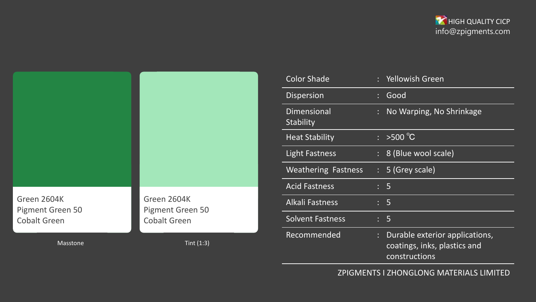

|                                 |                                 | C <sub>C</sub>         |
|---------------------------------|---------------------------------|------------------------|
|                                 |                                 | Di:                    |
|                                 |                                 | $\overline{Di}$        |
|                                 |                                 | Sta                    |
|                                 |                                 | He                     |
|                                 |                                 | Lig                    |
|                                 |                                 | W                      |
|                                 |                                 | Ac                     |
| Green 2604K<br>Pigment Green 50 | Green 2604K<br>Pigment Green 50 | $\overline{A}$         |
| <b>Cobalt Green</b>             | <b>Cobalt Green</b>             | $\mathsf{S}\mathsf{O}$ |
|                                 |                                 |                        |
| Masstone                        | Tint $(1:3)$                    | Re                     |

| <b>Color Shade</b>              |                           | : Yellowish Green                                                               |
|---------------------------------|---------------------------|---------------------------------------------------------------------------------|
| <b>Dispersion</b>               |                           | Good                                                                            |
| <b>Dimensional</b><br>Stability | t                         | No Warping, No Shrinkage                                                        |
| <b>Heat Stability</b>           | $\mathbb{R}^{\mathbb{Z}}$ | $>500^{\circ}$ C                                                                |
| <b>Light Fastness</b>           |                           | : 8 (Blue wool scale)                                                           |
| <b>Weathering Fastness</b>      |                           | $: 5$ (Grey scale)                                                              |
| <b>Acid Fastness</b>            |                           | : 5                                                                             |
| <b>Alkali Fastness</b>          |                           | : 5                                                                             |
| <b>Solvent Fastness</b>         |                           | $\therefore$ 5                                                                  |
| Recommended                     | ÷                         | Durable exterior applications,<br>coatings, inks, plastics and<br>constructions |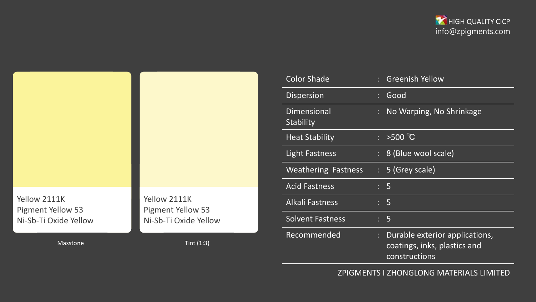



| <b>Color Shade</b>              |    | <b>Greenish Yellow</b>                                                          |
|---------------------------------|----|---------------------------------------------------------------------------------|
| <b>Dispersion</b>               |    | Good                                                                            |
| <b>Dimensional</b><br>Stability |    | No Warping, No Shrinkage                                                        |
| <b>Heat Stability</b>           |    | $\frac{1}{2}$ >500 °C                                                           |
| <b>Light Fastness</b>           |    | : 8 (Blue wool scale)                                                           |
| <b>Weathering Fastness</b>      |    | $: 5$ (Grey scale)                                                              |
| <b>Acid Fastness</b>            |    | : 5                                                                             |
| <b>Alkali Fastness</b>          |    | $\therefore$ 5                                                                  |
| <b>Solvent Fastness</b>         |    | : 5                                                                             |
| Recommended                     | t, | Durable exterior applications,<br>coatings, inks, plastics and<br>constructions |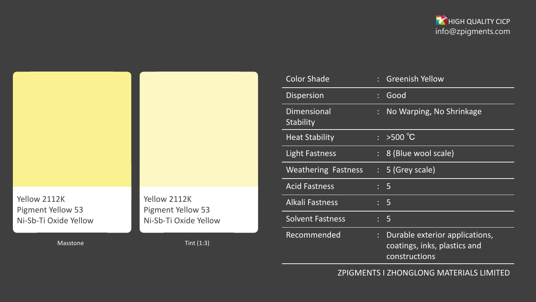



| <b>Color Shade</b>              | <b>Greenish Yellow</b>                                                          |  |
|---------------------------------|---------------------------------------------------------------------------------|--|
| <b>Dispersion</b>               | Good                                                                            |  |
| <b>Dimensional</b><br>Stability | No Warping, No Shrinkage                                                        |  |
| <b>Heat Stability</b>           | $: >500^{\circ}C$                                                               |  |
| <b>Light Fastness</b>           | : 8 (Blue wool scale)                                                           |  |
| <b>Weathering Fastness</b>      | $: 5$ (Grey scale)                                                              |  |
| <b>Acid Fastness</b>            | : 5                                                                             |  |
| <b>Alkali Fastness</b>          | : 5                                                                             |  |
| <b>Solvent Fastness</b>         | : 5                                                                             |  |
| Recommended                     | Durable exterior applications,<br>coatings, inks, plastics and<br>constructions |  |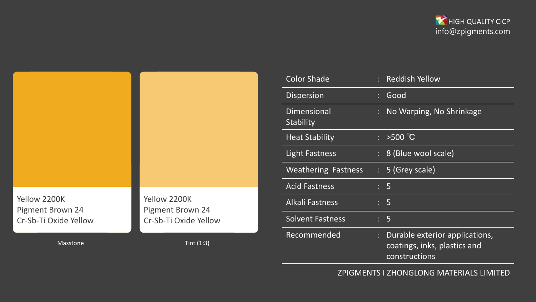



| <b>Color Shade</b>                     |                           | : Reddish Yellow                                                                |  |
|----------------------------------------|---------------------------|---------------------------------------------------------------------------------|--|
| <b>Dispersion</b>                      |                           | Good                                                                            |  |
| <b>Dimensional</b><br><b>Stability</b> |                           | No Warping, No Shrinkage                                                        |  |
| <b>Heat Stability</b>                  |                           | $\frac{1}{2}$ >500 °C                                                           |  |
| <b>Light Fastness</b>                  |                           | : 8 (Blue wool scale)                                                           |  |
| <b>Weathering Fastness</b>             |                           | $: 5$ (Grey scale)                                                              |  |
| <b>Acid Fastness</b>                   |                           | : 5                                                                             |  |
| <b>Alkali Fastness</b>                 |                           | : 5                                                                             |  |
| <b>Solvent Fastness</b>                |                           | : 5                                                                             |  |
| Recommended                            | $\mathbb{R}^{\mathbb{Z}}$ | Durable exterior applications,<br>coatings, inks, plastics and<br>constructions |  |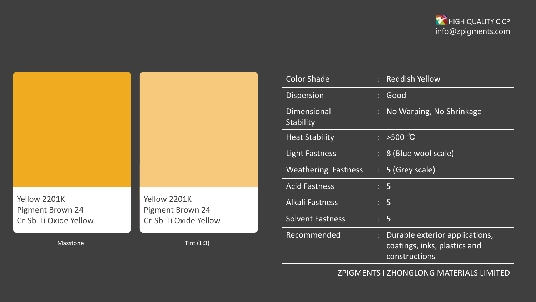



| <b>Color Shade</b>              |   | : Reddish Yellow                                                                |  |
|---------------------------------|---|---------------------------------------------------------------------------------|--|
| <b>Dispersion</b>               |   | Good                                                                            |  |
| <b>Dimensional</b><br>Stability |   | No Warping, No Shrinkage                                                        |  |
| <b>Heat Stability</b>           |   | $: >500^{\circ}C$                                                               |  |
| <b>Light Fastness</b>           |   | : 8 (Blue wool scale)                                                           |  |
| <b>Weathering Fastness</b>      |   | $: 5$ (Grey scale)                                                              |  |
| <b>Acid Fastness</b>            |   | : 5                                                                             |  |
| <b>Alkali Fastness</b>          |   | $\therefore$ 5                                                                  |  |
| <b>Solvent Fastness</b>         |   | : 5                                                                             |  |
| Recommended                     | ÷ | Durable exterior applications,<br>coatings, inks, plastics and<br>constructions |  |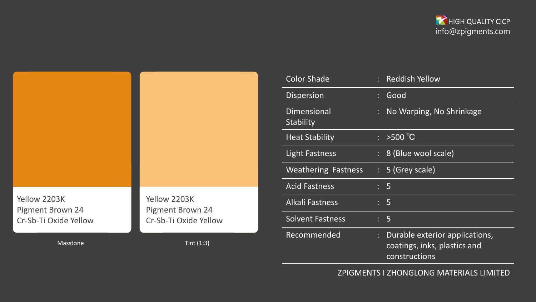



| <b>Color Shade</b>              |   | <b>Reddish Yellow</b>                                                           |  |
|---------------------------------|---|---------------------------------------------------------------------------------|--|
| <b>Dispersion</b>               |   | Good                                                                            |  |
| <b>Dimensional</b><br>Stability | ÷ | No Warping, No Shrinkage                                                        |  |
| <b>Heat Stability</b>           |   | $\frac{1}{2}$ > 500 °C                                                          |  |
| <b>Light Fastness</b>           |   | 8 (Blue wool scale)                                                             |  |
| <b>Weathering Fastness</b>      |   | $: 5$ (Grey scale)                                                              |  |
| <b>Acid Fastness</b>            |   | : 5                                                                             |  |
| <b>Alkali Fastness</b>          |   | : 5                                                                             |  |
| <b>Solvent Fastness</b>         |   | : 5                                                                             |  |
| Recommended                     |   | Durable exterior applications,<br>coatings, inks, plastics and<br>constructions |  |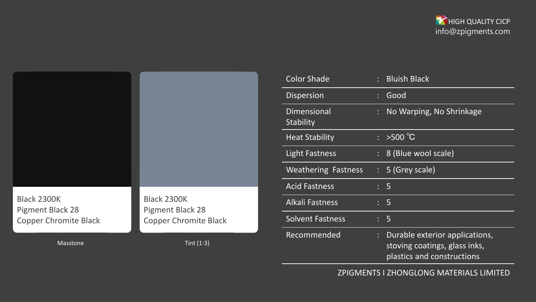



| <b>Color Shade</b>                     |                           | <b>Bluish Black</b>                                                                           |  |
|----------------------------------------|---------------------------|-----------------------------------------------------------------------------------------------|--|
| <b>Dispersion</b>                      |                           | Good                                                                                          |  |
| <b>Dimensional</b><br><b>Stability</b> |                           | No Warping, No Shrinkage                                                                      |  |
| <b>Heat Stability</b>                  | $\mathbb{R}^{\mathbb{Z}}$ | $>500^{\circ}$ C                                                                              |  |
| <b>Light Fastness</b>                  |                           | : 8 (Blue wool scale)                                                                         |  |
| <b>Weathering Fastness</b>             |                           | $: 5$ (Grey scale)                                                                            |  |
| <b>Acid Fastness</b>                   |                           | : 5                                                                                           |  |
| <b>Alkali Fastness</b>                 |                           | $\therefore$ 5                                                                                |  |
| <b>Solvent Fastness</b>                |                           | $\therefore$ 5                                                                                |  |
| Recommended                            |                           | Durable exterior applications,<br>stoving coatings, glass inks,<br>plastics and constructions |  |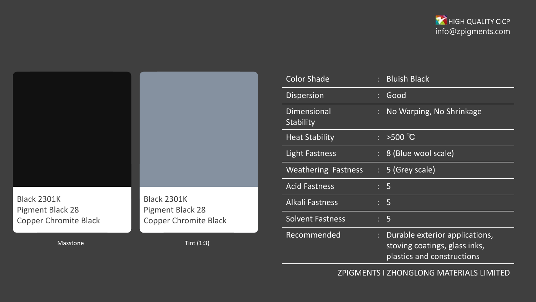



| <b>Color Shade</b>                     |                           | <b>Bluish Black</b>                                                                           |  |
|----------------------------------------|---------------------------|-----------------------------------------------------------------------------------------------|--|
| <b>Dispersion</b>                      |                           | Good                                                                                          |  |
| <b>Dimensional</b><br><b>Stability</b> |                           | No Warping, No Shrinkage                                                                      |  |
| <b>Heat Stability</b>                  |                           | $>500^{\circ}$ C                                                                              |  |
| <b>Light Fastness</b>                  |                           | : 8 (Blue wool scale)                                                                         |  |
| <b>Weathering Fastness</b>             |                           | $: 5$ (Grey scale)                                                                            |  |
| <b>Acid Fastness</b>                   |                           | : 5                                                                                           |  |
| <b>Alkali Fastness</b>                 |                           | : 5                                                                                           |  |
| <b>Solvent Fastness</b>                |                           | $\therefore$ 5                                                                                |  |
| Recommended                            | $\mathbb{R}^{\mathbb{Z}}$ | Durable exterior applications,<br>stoving coatings, glass inks,<br>plastics and constructions |  |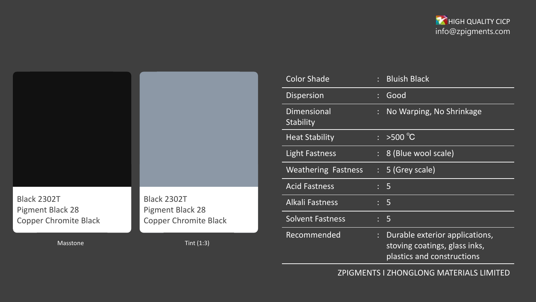



| <b>Color Shade</b>              | $\mathbb{R}^{\mathbb{Z}}$ | <b>Bluish Black</b>                                                                           |  |
|---------------------------------|---------------------------|-----------------------------------------------------------------------------------------------|--|
| <b>Dispersion</b>               |                           | Good                                                                                          |  |
| <b>Dimensional</b><br>Stability |                           | No Warping, No Shrinkage                                                                      |  |
| <b>Heat Stability</b>           |                           | $\frac{1}{2}$ >500 °C                                                                         |  |
| <b>Light Fastness</b>           |                           | : 8 (Blue wool scale)                                                                         |  |
| <b>Weathering Fastness</b>      |                           | $: 5$ (Grey scale)                                                                            |  |
| <b>Acid Fastness</b>            |                           | $\therefore$ 5                                                                                |  |
| <b>Alkali Fastness</b>          |                           | : 5                                                                                           |  |
| <b>Solvent Fastness</b>         |                           | $\therefore$ 5                                                                                |  |
| Recommended                     | ÷                         | Durable exterior applications,<br>stoving coatings, glass inks,<br>plastics and constructions |  |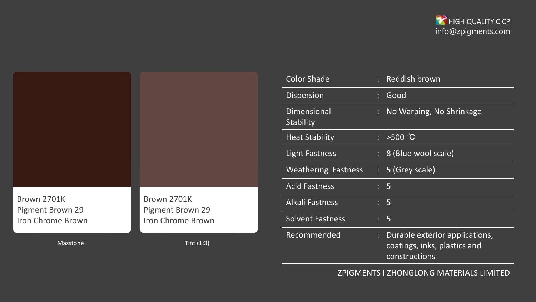



| <b>Color Shade</b>              |    | <b>Reddish brown</b>                                                            |  |
|---------------------------------|----|---------------------------------------------------------------------------------|--|
| <b>Dispersion</b>               |    | Good                                                                            |  |
| <b>Dimensional</b><br>Stability |    | No Warping, No Shrinkage                                                        |  |
| <b>Heat Stability</b>           | ÷  | $>500^{\circ}$ C                                                                |  |
| <b>Light Fastness</b>           | ÷. | 8 (Blue wool scale)                                                             |  |
| <b>Weathering Fastness</b>      |    | $: 5$ (Grey scale)                                                              |  |
| <b>Acid Fastness</b>            |    | : 5                                                                             |  |
| <b>Alkali Fastness</b>          |    | $\therefore$ 5                                                                  |  |
| <b>Solvent Fastness</b>         |    | : 5                                                                             |  |
| Recommended                     | t  | Durable exterior applications,<br>coatings, inks, plastics and<br>constructions |  |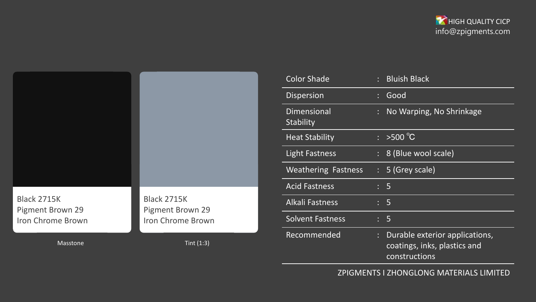



| <b>Color Shade</b>              |                           | : Bluish Black                                                                  |  |
|---------------------------------|---------------------------|---------------------------------------------------------------------------------|--|
| <b>Dispersion</b>               |                           | Good                                                                            |  |
| <b>Dimensional</b><br>Stability |                           | No Warping, No Shrinkage                                                        |  |
| <b>Heat Stability</b>           | $\mathbb{R}^{\mathbb{Z}}$ | $>500^{\circ}$ C                                                                |  |
| <b>Light Fastness</b>           |                           | : 8 (Blue wool scale)                                                           |  |
| <b>Weathering Fastness</b>      |                           | $: 5$ (Grey scale)                                                              |  |
| <b>Acid Fastness</b>            |                           | $\therefore$ 5                                                                  |  |
| <b>Alkali Fastness</b>          |                           | $\therefore$ 5                                                                  |  |
| <b>Solvent Fastness</b>         |                           | $\therefore$ 5                                                                  |  |
| Recommended                     | t.                        | Durable exterior applications,<br>coatings, inks, plastics and<br>constructions |  |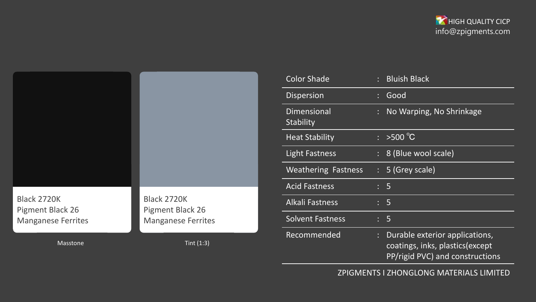



| <b>Color Shade</b>              |                           | : Bluish Black                                                                                        |  |
|---------------------------------|---------------------------|-------------------------------------------------------------------------------------------------------|--|
| <b>Dispersion</b>               |                           | Good                                                                                                  |  |
| <b>Dimensional</b><br>Stability |                           | No Warping, No Shrinkage                                                                              |  |
| <b>Heat Stability</b>           | $\mathbb{R}^{\mathbb{Z}}$ | $>500^{\circ}$ C                                                                                      |  |
| <b>Light Fastness</b>           |                           | : 8 (Blue wool scale)                                                                                 |  |
| <b>Weathering Fastness</b>      |                           | $: 5$ (Grey scale)                                                                                    |  |
| <b>Acid Fastness</b>            |                           | : 5                                                                                                   |  |
| <b>Alkali Fastness</b>          |                           | $\therefore$ 5                                                                                        |  |
| <b>Solvent Fastness</b>         |                           | : 5                                                                                                   |  |
| Recommended                     |                           | Durable exterior applications,<br>coatings, inks, plastics (except<br>PP/rigid PVC) and constructions |  |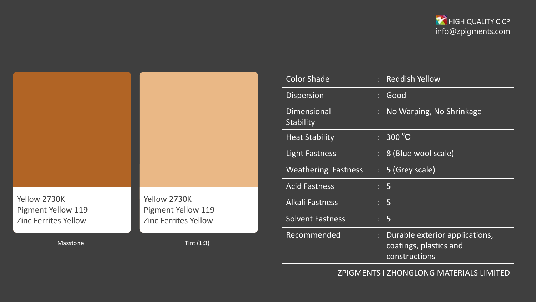



| <b>Color Shade</b>         |    | <b>Reddish Yellow</b>                                                     |
|----------------------------|----|---------------------------------------------------------------------------|
| <b>Dispersion</b>          |    | Good                                                                      |
| Dimensional<br>Stability   |    | No Warping, No Shrinkage                                                  |
| <b>Heat Stability</b>      | ÷. | 300 °C                                                                    |
| <b>Light Fastness</b>      |    | : 8 (Blue wool scale)                                                     |
| <b>Weathering Fastness</b> |    | $: 5$ (Grey scale)                                                        |
| <b>Acid Fastness</b>       |    | : 5                                                                       |
| <b>Alkali Fastness</b>     |    | : 5                                                                       |
| <b>Solvent Fastness</b>    |    | : 5                                                                       |
| Recommended                |    | Durable exterior applications,<br>coatings, plastics and<br>constructions |